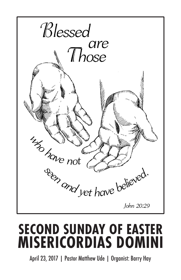

# **SECOND SUNDAY OF EASTER MISERICORDIAS DOMINI**

April 23, 2017 | Pastor Matthew Ude | Organist: Barry Hay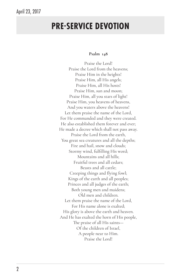# **PRE-SERVICE DEVOTION**

#### **Psalm 148**

Praise the Lord! Praise the Lord from the heavens; Praise Him in the heights! Praise Him, all His angels; Praise Him, all His hosts! Praise Him, sun and moon; Praise Him, all you stars of light! Praise Him, you heavens of heavens, And you waters above the heavens! Let them praise the name of the Lord, For He commanded and they were created. He also established them forever and ever; He made a decree which shall not pass away. Praise the Lord from the earth, You great sea creatures and all the depths; Fire and hail, snow and clouds; Stormy wind, fulfilling His word; Mountains and all hills; Fruitful trees and all cedars; Beasts and all cattle; Creeping things and flying fowl; Kings of the earth and all peoples; Princes and all judges of the earth; Both young men and maidens; Old men and children. Let them praise the name of the Lord, For His name alone is exalted; His glory is above the earth and heaven. And He has exalted the horn of His people, The praise of all His saints— Of the children of Israel, A people near to Him. Praise the Lord!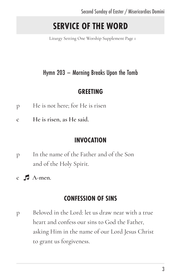# **SERVICE OF THE WORD**

Liturgy Setting One Worship Supplement Page 1

# Hymn 203 – Morning Breaks Upon the Tomb

### **GREETING**

- p He is not here; for He is risen
- **c He is risen, as He said.**

### **INVOCATION**

- p In the name of the Father and of the Son and of the Holy Spirit.
- **c A-men.**

### **CONFESSION OF SINS**

p Beloved in the Lord: let us draw near with a true heart and confess our sins to God the Father, asking Him in the name of our Lord Jesus Christ to grant us forgiveness.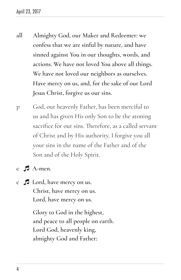- **all Almighty God, our Maker and Redeemer: we confess that we are sinful by nature, and have sinned against You in our thoughts, words, and actions. We have not loved You above all things. We have not loved our neighbors as ourselves. Have mercy on us, and, for the sake of our Lord Jesus Christ, forgive us our sins.**
- p God, our heavenly Father, has been merciful to us and has given His only Son to be the atoning sacrifice for our sins. Therefore, as a called servant of Christ and by His authority, I forgive you all your sins in the name of the Father and of the Son and of the Holy Spirit.
- **c A-men.**
- **c Lord, have mercy on us. Christ, have mercy on us. Lord, have mercy on us.**

**Glory to God in the highest, and peace to all people on earth. Lord God, heavenly king, almighty God and Father:**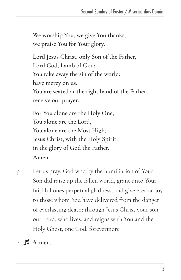**We worship You, we give You thanks, we praise You for Your glory.** 

**Lord Jesus Christ, only Son of the Father, Lord God, Lamb of God: You take away the sin of the world; have mercy on us. You are seated at the right hand of the Father; receive our prayer.** 

**For You alone are the Holy One, You alone are the Lord, You alone are the Most High, Jesus Christ, with the Holy Spirit, in the glory of God the Father. Amen.**

- p Let us pray. God who by the humiliation of Your Son did raise up the fallen world, grant unto Your faithful ones perpetual gladness, and give eternal joy to those whom You have delivered from the danger of everlasting death; through Jesus Christ your son, our Lord, who lives, and reigns with You and the Holy Ghost, one God, forevermore.
- **c A-men.**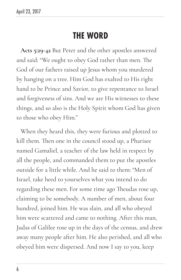# **THE WORD**

**Acts 5:29-42** But Peter and the other apostles answered and said: "We ought to obey God rather than men. The God of our fathers raised up Jesus whom you murdered by hanging on a tree. Him God has exalted to His right hand to be Prince and Savior, to give repentance to Israel and forgiveness of sins. And we are His witnesses to these things, and so also is the Holy Spirit whom God has given to those who obey Him."

When they heard this, they were furious and plotted to kill them. Then one in the council stood up, a Pharisee named Gamaliel, a teacher of the law held in respect by all the people, and commanded them to put the apostles outside for a little while. And he said to them: "Men of Israel, take heed to yourselves what you intend to do regarding these men. For some time ago Theudas rose up, claiming to be somebody. A number of men, about four hundred, joined him. He was slain, and all who obeyed him were scattered and came to nothing. After this man, Judas of Galilee rose up in the days of the census, and drew away many people after him. He also perished, and all who obeyed him were dispersed. And now I say to you, keep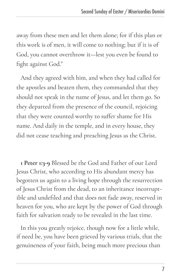away from these men and let them alone; for if this plan or this work is of men, it will come to nothing; but if it is of God, you cannot overthrow it—lest you even be found to fight against God."

And they agreed with him, and when they had called for the apostles and beaten them, they commanded that they should not speak in the name of Jesus, and let them go. So they departed from the presence of the council, rejoicing that they were counted worthy to suffer shame for His name. And daily in the temple, and in every house, they did not cease teaching and preaching Jesus as the Christ.

**1 Peter 1:3-9** Blessed be the God and Father of our Lord Jesus Christ, who according to His abundant mercy has begotten us again to a living hope through the resurrection of Jesus Christ from the dead, to an inheritance incorruptible and undefiled and that does not fade away, reserved in heaven for you, who are kept by the power of God through faith for salvation ready to be revealed in the last time.

In this you greatly rejoice, though now for a little while, if need be, you have been grieved by various trials, that the genuineness of your faith, being much more precious than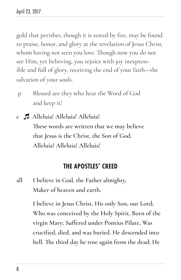gold that perishes, though it is tested by fire, may be found to praise, honor, and glory at the revelation of Jesus Christ, whom having not seen you love. Though now you do not see Him, yet believing, you rejoice with joy inexpressible and full of glory, receiving the end of your faith—the salvation of your souls.

- p Blessed are they who hear the Word of God and keep it!
- **c Alleluia! Alleluia! Alleluia! These words are written that we may believe that Jesus is the Christ, the Son of God. Alleluia! Alleluia! Alleluia!**

### **THE APOSTLES' CREED**

**all I believe in God, the Father almighty, Maker of heaven and earth.**

> **I believe in Jesus Christ, His only Son, our Lord; Who was conceived by the Holy Spirit, Born of the virgin Mary; Suffered under Pontius Pilate, Was crucified, died, and was buried. He descended into hell. The third day he rose again from the dead; He**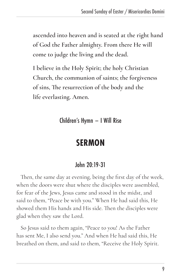**ascended into heaven and is seated at the right hand of God the Father almighty. From there He will come to judge the living and the dead.**

**I believe in the Holy Spirit; the holy Christian Church, the communion of saints; the forgiveness of sins, The resurrection of the body and the life everlasting. Amen.**

Children's Hymn – I Will Rise

# **SERMON**

## John 20:19-31

Then, the same day at evening, being the first day of the week, when the doors were shut where the disciples were assembled, for fear of the Jews, Jesus came and stood in the midst, and said to them, "Peace be with you." When He had said this, He showed them His hands and His side. Then the disciples were glad when they saw the Lord.

So Jesus said to them again, "Peace to you! As the Father has sent Me, I also send you." And when He had said this, He breathed on them, and said to them, "Receive the Holy Spirit.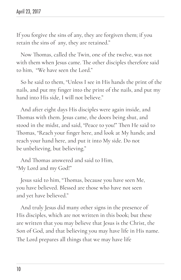If you forgive the sins of any, they are forgiven them; if you retain the sins of any, they are retained."

Now Thomas, called the Twin, one of the twelve, was not with them when Jesus came. The other disciples therefore said to him, "We have seen the Lord."

So he said to them, "Unless I see in His hands the print of the nails, and put my finger into the print of the nails, and put my hand into His side, I will not believe."

And after eight days His disciples were again inside, and Thomas with them. Jesus came, the doors being shut, and stood in the midst, and said, "Peace to you!" Then He said to Thomas, "Reach your finger here, and look at My hands; and reach your hand here, and put it into My side. Do not be unbelieving, but believing."

And Thomas answered and said to Him, "My Lord and my God!"

Jesus said to him, "Thomas, because you have seen Me, you have believed. Blessed are those who have not seen and yet have believed."

And truly Jesus did many other signs in the presence of His disciples, which are not written in this book; but these are written that you may believe that Jesus is the Christ, the Son of God, and that believing you may have life in His name. The Lord prepares all things that we may have life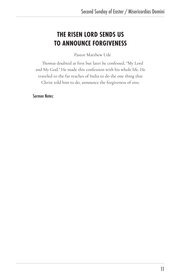# **THE RISEN LORD SENDS US TO ANNOUNCE FORGIVENESS**

Pastor Matthew Ude

Thomas doubted at first but later he confessed, "My Lord and My God." He made this confession with his whole life. He traveled to the far reaches of India to do the one thing that Christ told him to do, announce the forgiveness of sins.

Sermon Notes: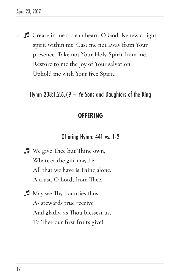**c Create in me a clean heart, O God. Renew a right spirit within me. Cast me not away from Your presence. Take not Your Holy Spirit from me. Restore to me the joy of Your salvation. Uphold me with Your free Spirit.**

Hymn 208:1,2,6,7,9 – Ye Sons and Daughters of the King

### **OFFERING**

Offering Hymn: 441 vs. 1-2

- **We give Thee but Thine own, Whate'er the gift may be All that we have is Thine alone, A trust, O Lord, from Thee.**
- **May we Thy bounties thus As stewards true receive And gladly, as Thou blessest us, To Thee our first fruits give!**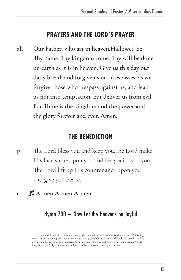### **PRAYERS AND THE LORD'S PRAYER**

**all Our Father, who art in heaven,Hallowed be Thy name, Thy kingdom come, Thy will be done on earth as it is in heaven. Give us this day our daily bread; and forgive us our trespasses, as we forgive those who trespass against us; and lead us not into temptation, but deliver us from evil For Thine is the kingdom and the power and the glory forever and ever. Amen.**

### **THE BENEDICTION**

- p The Lord bless you and keep you.The Lord make His face shine upon you and be gracious to you. The Lord lift up His countenance upon you and give you peace.
- **c A-men A-men A-men.**

### Hymn 730 – Now Let the Heavens be Joyful

Hymns and liturgical settings under copyright are used by permission through Concordia Publishing House License #000014029, OneLicense.net #A-717140, or CCLI #11227828. All Rights reserved. Used by permission. Unless otherwise indicated, Scriptures quoted are from the New King James Version® of the Holy Bible, @1982 by Thomas Nelson, Inc. Used by permission. All rights reserved.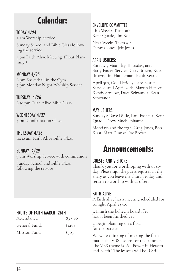# **Calendar:**

#### TODAY 4/24

9 am Worship Service

Sunday School and Bible Class following the service

5 pm Faith Alive Meeting (Float Planning )

MONDAY 4/25 6 pm Basketball in the Gym 7 pm Monday Night Worship Service

TUESDAY 4/26 6:30 pm Faith Alive Bible Class

WEDNESDAY 4/27 4 pm Confirmation Class

THURSDAY 4/28 10:30 am Faith Alive Bible Class

SUNDAY 4/29 9 am Worship Service with communion

Sunday School and Bible Class following the service

### FRUITS OF FAITH MARCH 26TH

| Attendance:   | 83/68  |
|---------------|--------|
| General Fund: | \$4186 |
| Mission Fund: | \$705  |

#### ENVELOPE COMMITTEE

This Week: Team #6: Kent Quade, Jim Kok

Next Week: Team #1: Dennis Jones, Jeff Jones

#### APRIL USHERS:

Sundays, Maunday Thursday, and Early Easter Service: Gary Brown, Russ Brown, Jim Hanneman, Jacob Kearns

April 5th, Good Friday, Late Easter Service, and April 24th: Martin Hansen, Randy Strelow, Dave Schwandt, Evan Schwandt

#### MAY USHERS:

Sundays: Dave Dillie, Paul Eserhut, Kent Quade, Drew Muehlenhaupt

Mondays and the 25th: Greg Jones, Bob Kirst, Matt Dumke, Joe Brown

# **Announcements:**

#### GUESTS AND VISITORS

Thank you for worshipping with us today. Please sign the guest register in the entry as you leave the church today and return to worship with us often.

#### FAITH ALIVE

A faith alive has a meeting scheduled for tonight April 23 to:

1. Finish the bulletin board if it hasn't been finished yet

2. Begin planning on a float for the parade.

We were thinking of making the float match the VBS lessons for the summer. The VBS theme is "All Power in Heaven and Earth." The lessons will be 1) Still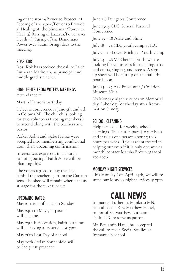ing of the storm/Power to Protect 2) Feeding of the 5,000/Power to Provide 3) Healing of the blind man/Power to Heal 4) Raising of Lazarus/Power over Death 5) Curing of the Demoniac/ Power over Satan. Bring ideas to the meeting.

#### ROSS KOK

Ross Kok has received the call to Faith Lutheran Markesan, as principal and middle grades teacher.

#### HIGHLIGHTS FROM VOTERS MEETINGS

Attendance 12

Martin Hansen's birthday

Delegate conference is June 5th and 6th in Coloma MI. The church is looking for two volunteers ( voting members ) to attend along with the teachers and pastor.

Parker Kohn and Gabe Henke were accepted into membership conditional upon their upcoming confirmation

Interest was expressed in a church camping outing ( Faith Alive will be planning this)

The voters agreed to buy the shed behind the teacherage from the Carstensens. The shed will remain where it is as storage for the next teacher.

#### UPCOMING DATES:

May 21st is confirmation Sunday

May 24th to May 31st pastor will be gone.

May 25th is Ascension, Faith Lutheran will be having a lay service @ 7pm

May 26th Last Day of School

May 28th Stefan Sonnenfeld will be the guest preacher

June 5,6 Delegates Conference

June 13-15 CLC General Pastoral Conference

June 15 – 18 Arise and Shine

July 18 – 24 CLC youth camp at ILC

July 7 – 10 Lower Michigan Youth Camp

July 24 – 28 VBS here at Faith, we are looking for volunteers for teaching, arts and crafts, singing, and recess. A sign up sheet will be put up on the bulletin board soon.

July 25 – 27 Ark Encounter / Creation Museum Visit

No Monday night services on Memorial day, Labor day, or the day after Reformation Sunday

#### SCHOOL CLEANING

Help is needed for weekly school cleanings. The church pays \$10 per hour and it takes one person about 5 to 6 hours per week. If you are interested in helping out even if it is only one week a month, contact Marsha Brown @ (920) 570-1076

#### MONDAY NIGHT SERVICES

This Monday ( on April 24th) we will resume our Monday night services @ 7pm.

# **CALL NEWS**

Immanuel Lutheran, Mankato MN, has called the Rev. Matthew Hanel, pastor of St. Matthew Lutheran, Dallas TX, to serve as pastor.

Mr. Benjamin Hanel has accepted the call to teach Social Studies at Immanuel's school.